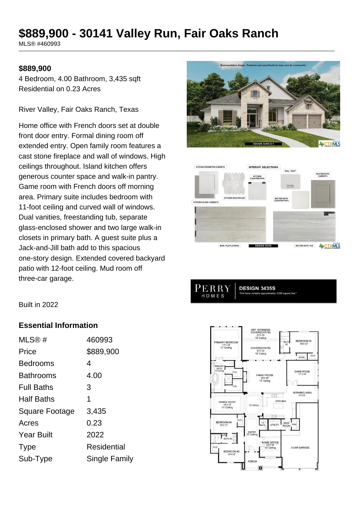# **\$889,900 - 30141 Valley Run, Fair Oaks Ranch**

MLS® #460993

#### **\$889,900**

4 Bedroom, 4.00 Bathroom, 3,435 sqft Residential on 0.23 Acres

River Valley, Fair Oaks Ranch, Texas

Home office with French doors set at double front door entry. Formal dining room off extended entry. Open family room features a cast stone fireplace and wall of windows. High ceilings throughout. Island kitchen offers generous counter space and walk-in pantry. Game room with French doors off morning area. Primary suite includes bedroom with 11-foot ceiling and curved wall of windows. Dual vanities, freestanding tub, separate glass-enclosed shower and two large walk-in closets in primary bath. A guest suite plus a Jack-and-Jill bath add to this spacious one-story design. Extended covered backyard patio with 12-foot ceiling. Mud room off three-car garage.





PERRY **DESIGN 3435S** HOMES

Built in 2022

#### **Essential Information**

| MLS@#                 | 460993        |
|-----------------------|---------------|
| Price                 | \$889,900     |
| <b>Bedrooms</b>       | 4             |
| <b>Bathrooms</b>      | 4.00          |
| <b>Full Baths</b>     | 3             |
| <b>Half Baths</b>     | 1             |
| <b>Square Footage</b> | 3,435         |
| Acres                 | 0.23          |
| <b>Year Built</b>     | 2022          |
| <b>Type</b>           | Residential   |
| Sub-Type              | Single Family |

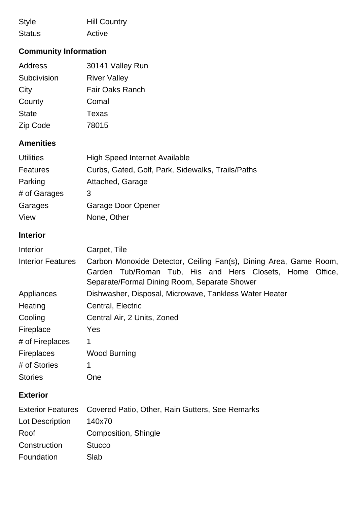| <b>Style</b>  | <b>Hill Country</b> |
|---------------|---------------------|
| <b>Status</b> | Active              |

## **Community Information**

| Address      | 30141 Valley Run       |
|--------------|------------------------|
| Subdivision  | <b>River Valley</b>    |
| City         | <b>Fair Oaks Ranch</b> |
| County       | Comal                  |
| <b>State</b> | Texas                  |
| Zip Code     | 78015                  |

## **Amenities**

| <b>Utilities</b> | <b>High Speed Internet Available</b>              |
|------------------|---------------------------------------------------|
| <b>Features</b>  | Curbs, Gated, Golf, Park, Sidewalks, Trails/Paths |
| Parking          | Attached, Garage                                  |
| # of Garages     | 3                                                 |
| Garages          | Garage Door Opener                                |
| View             | None, Other                                       |

## **Interior**

| Interior                 | Carpet, Tile                                                                                                                                                                     |
|--------------------------|----------------------------------------------------------------------------------------------------------------------------------------------------------------------------------|
| <b>Interior Features</b> | Carbon Monoxide Detector, Ceiling Fan(s), Dining Area, Game Room,<br>Garden Tub/Roman Tub, His and Hers Closets, Home<br>Office,<br>Separate/Formal Dining Room, Separate Shower |
| Appliances               | Dishwasher, Disposal, Microwave, Tankless Water Heater                                                                                                                           |
| Heating                  | Central, Electric                                                                                                                                                                |
| Cooling                  | Central Air, 2 Units, Zoned                                                                                                                                                      |
| Fireplace                | Yes                                                                                                                                                                              |
| # of Fireplaces          | 1                                                                                                                                                                                |
| <b>Fireplaces</b>        | <b>Wood Burning</b>                                                                                                                                                              |
| # of Stories             | 1                                                                                                                                                                                |
| <b>Stories</b>           | One                                                                                                                                                                              |
| <b>Exterior</b>          |                                                                                                                                                                                  |
| <b>Exterior Features</b> | Covered Patio, Other, Rain Gutters, See Remarks                                                                                                                                  |
| Lot Description          | 140x70                                                                                                                                                                           |
| Roof                     | Composition, Shingle                                                                                                                                                             |
| Construction             | <b>Stucco</b>                                                                                                                                                                    |
| Foundation               | Slab                                                                                                                                                                             |